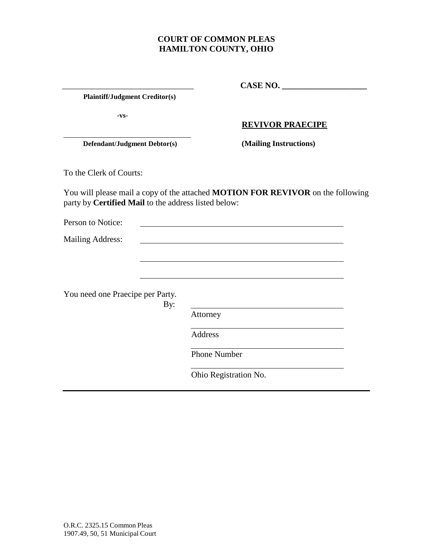# **COURT OF COMMON PLEAS HAMILTON COUNTY, OHIO**

 **Plaintiff/Judgment Creditor(s)**

**-vs-**

#### **REVIVOR PRAECIPE**

\_\_\_\_\_\_\_\_\_\_\_\_\_\_\_\_\_\_\_\_\_\_\_\_\_\_\_\_\_\_\_ **CASE NO. \_\_\_\_\_\_\_\_\_\_\_\_\_\_\_\_\_\_\_\_** 

 **Defendant/Judgment Debtor(s) (Mailing Instructions)**

To the Clerk of Courts:

You will please mail a copy of the attached **MOTION FOR REVIVOR** on the following party by **Certified Mail** to the address listed below:

Person to Notice: Mailing Address: You need one Praecipe per Party. By: Attorney Address Phone Number Ohio Registration No.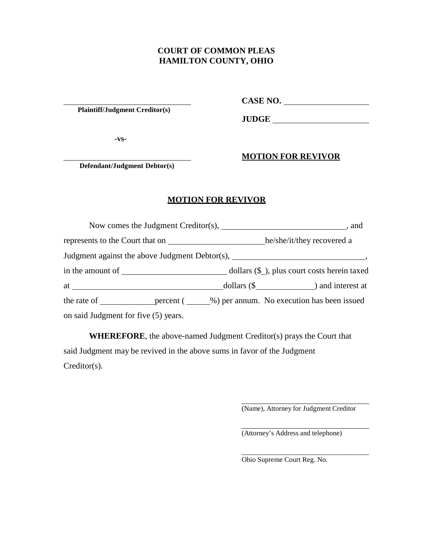### **COURT OF COMMON PLEAS HAMILTON COUNTY, OHIO**

**Plaintiff/Judgment Creditor(s)**

**CASE NO.**

**JUDGE**

**-vs-**

**MOTION FOR REVIVOR**

 **Defendant/Judgment Debtor(s)**

# **MOTION FOR REVIVOR**

| represents to the Court that on he/she/it/they recovered a |  |  |                                                                                  |
|------------------------------------------------------------|--|--|----------------------------------------------------------------------------------|
|                                                            |  |  | Judgment against the above Judgment Debtor(s), _________________________________ |
|                                                            |  |  |                                                                                  |
|                                                            |  |  | $\text{dollars } (\$$ $\qquad$ and interest at                                   |
|                                                            |  |  | the rate of percent (%) per annum. No execution has been issued                  |
| on said Judgment for five (5) years.                       |  |  |                                                                                  |

**WHEREFORE**, the above-named Judgment Creditor(s) prays the Court that said Judgment may be revived in the above sums in favor of the Judgment Creditor(s).

(Name), Attorney for Judgment Creditor

\_\_\_\_\_\_\_\_\_\_\_\_\_\_\_\_\_\_\_\_\_\_\_\_\_\_\_\_\_\_\_\_\_\_\_\_

(Attorney's Address and telephone)

Ohio Supreme Court Reg. No.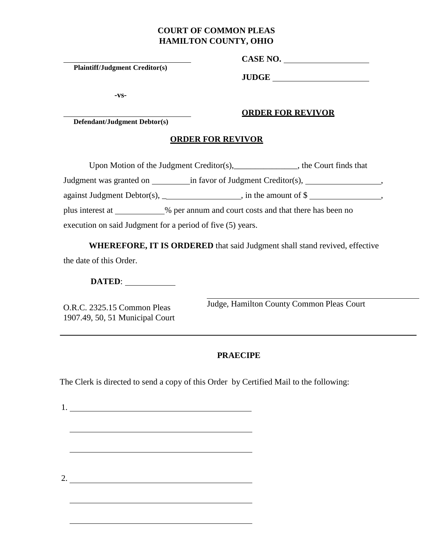# **COURT OF COMMON PLEAS HAMILTON COUNTY, OHIO**

**Plaintiff/Judgment Creditor(s)**

**CASE NO.** 

**JUDGE** 

**ORDER FOR REVIVOR**

**-vs-**

#### **Defendant/Judgment Debtor(s)**

#### **ORDER FOR REVIVOR**

Upon Motion of the Judgment Creditor(s), the Court finds that

Judgment was granted on \_\_\_\_\_\_\_\_\_ in favor of Judgment Creditor(s), \_\_\_\_\_\_\_\_\_\_\_\_\_\_\_\_\_\_, against Judgment Debtor(s), \_\_\_\_\_\_\_\_\_\_\_\_\_\_\_\_, in the amount of  $\$$  \_\_\_\_\_\_\_\_\_\_\_\_\_\_\_\_,

plus interest at \_\_\_\_\_\_\_\_\_\_% per annum and court costs and that there has been no

execution on said Judgment for a period of five (5) years.

**WHEREFORE, IT IS ORDERED** that said Judgment shall stand revived, effective the date of this Order.

**DATED**:

O.R.C. 2325.15 Common Pleas 1907.49, 50, 51 Municipal Court Judge, Hamilton County Common Pleas Court

## **PRAECIPE**

The Clerk is directed to send a copy of this Order by Certified Mail to the following:

1.

2.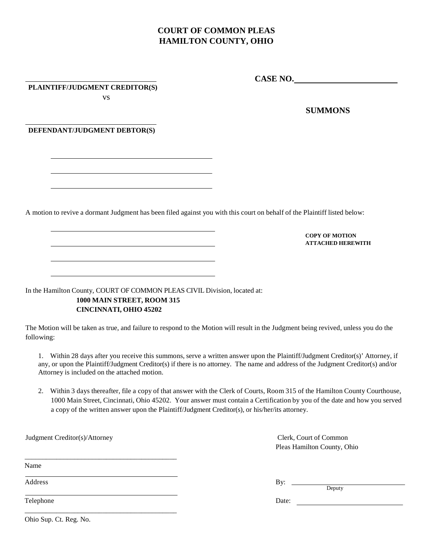# **COURT OF COMMON PLEAS HAMILTON COUNTY, OHIO**

#### **PLAINTIFF/JUDGMENT CREDITOR(S)**

vs

#### **SUMMONS**

**COPY OF MOTION ATTACHED HEREWITH**

**CASE NO.**

#### **DEFENDANT/JUDGMENT DEBTOR(S)**

A motion to revive a dormant Judgment has been filed against you with this court on behalf of the Plaintiff listed below:

In the Hamilton County, COURT OF COMMON PLEAS CIVIL Division, located at: **1000 MAIN STREET, ROOM 315 CINCINNATI, OHIO 45202**

The Motion will be taken as true, and failure to respond to the Motion will result in the Judgment being revived, unless you do the following:

1. Within 28 days after you receive this summons, serve a written answer upon the Plaintiff/Judgment Creditor(s)' Attorney, if any, or upon the Plaintiff/Judgment Creditor(s) if there is no attorney. The name and address of the Judgment Creditor(s) and/or Attorney is included on the attached motion.

2. Within 3 days thereafter, file a copy of that answer with the Clerk of Courts, Room 315 of the Hamilton County Courthouse, 1000 Main Street, Cincinnati, Ohio 45202. Your answer must contain a Certification by you of the date and how you served a copy of the written answer upon the Plaintiff/Judgment Creditor(s), or his/her/its attorney.

Judgment Creditor(s)/Attorney

Pleas Hamilton County, Ohio

Name

Telephone Date: \_\_\_\_\_\_\_\_\_\_\_\_\_\_\_\_\_\_\_\_\_\_\_\_\_\_\_\_\_\_\_\_\_\_\_\_\_\_\_\_\_\_\_

\_\_\_\_\_\_\_\_\_\_\_\_\_\_\_\_\_\_\_\_\_\_\_\_\_\_\_\_\_\_\_\_\_\_\_\_\_\_\_\_\_\_\_

Clerk, Court of Common

Address By: By: Deputy

Ohio Sup. Ct. Reg. No.